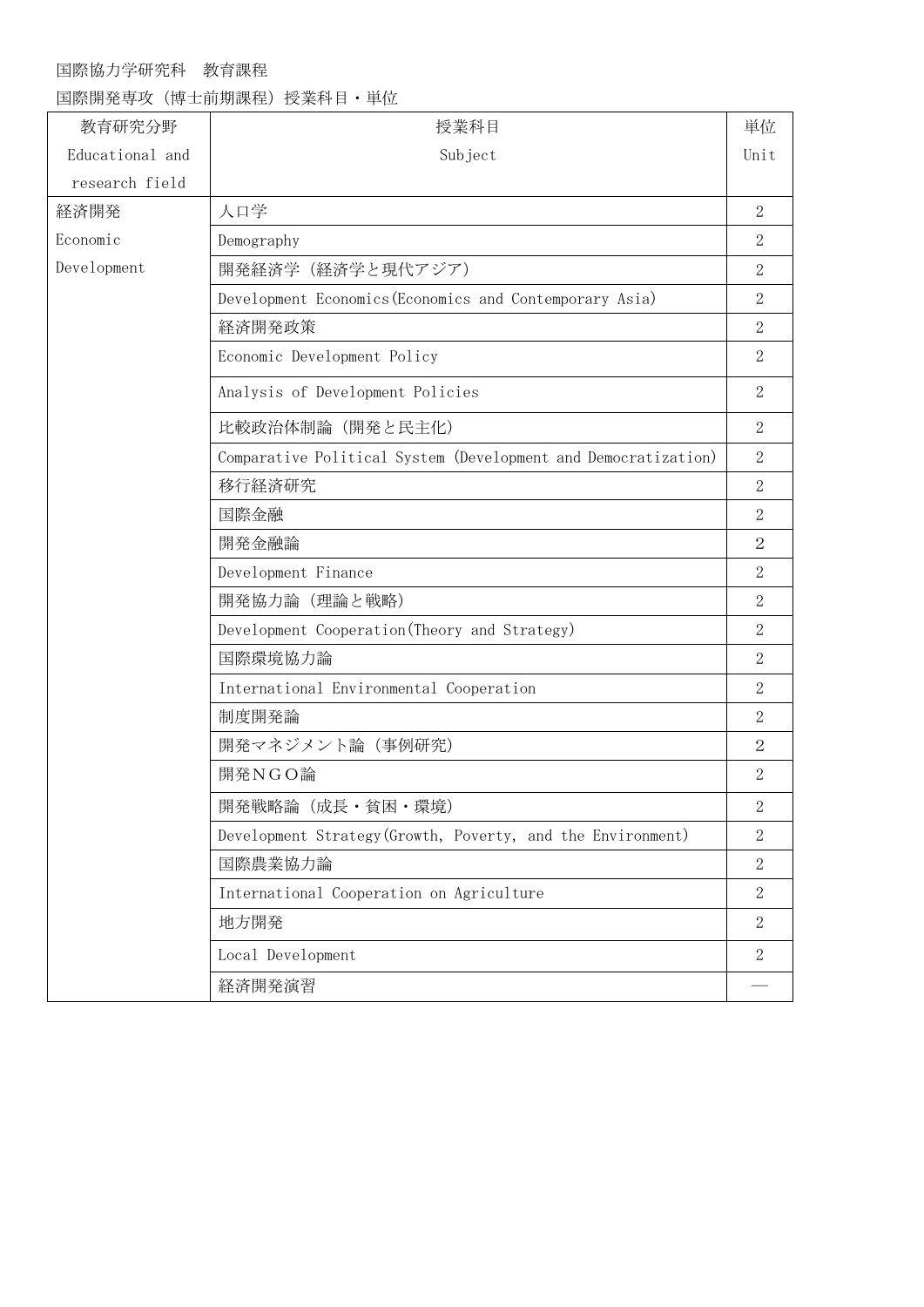# 国際協力学研究科 教育課程

国際開発専攻(博士前期課程)授業科目・単位

| 教育研究分野          | 授業科目                                                           | 単位             |
|-----------------|----------------------------------------------------------------|----------------|
| Educational and | Subject                                                        | Unit           |
| research field  |                                                                |                |
| 経済開発            | 人口学                                                            | $\overline{2}$ |
| Economic        | Demography                                                     | $\mathbf{2}$   |
| Development     | 開発経済学(経済学と現代アジア)                                               | $\overline{2}$ |
|                 | Development Economics (Economics and Contemporary Asia)        | $\overline{2}$ |
|                 | 経済開発政策                                                         | $\mathbf{2}$   |
|                 | Economic Development Policy                                    | $\overline{2}$ |
|                 | Analysis of Development Policies                               | $\overline{2}$ |
|                 | 比較政治体制論 (開発と民主化)                                               | $\overline{2}$ |
|                 | Comparative Political System (Development and Democratization) | $\overline{2}$ |
|                 | 移行経済研究                                                         | $\overline{2}$ |
|                 | 国際金融                                                           | $\overline{2}$ |
|                 | 開発金融論                                                          | $\overline{2}$ |
|                 | Development Finance                                            | $\overline{2}$ |
|                 | 開発協力論 (理論と戦略)                                                  | $\overline{2}$ |
|                 | Development Cooperation (Theory and Strategy)                  | $\overline{2}$ |
|                 | 国際環境協力論                                                        | $\overline{2}$ |
|                 | International Environmental Cooperation                        | $\overline{2}$ |
|                 | 制度開発論                                                          | $\mathbf{2}$   |
|                 | 開発マネジメント論 (事例研究)                                               | $\overline{2}$ |
|                 | 開発NGO論                                                         | $\overline{2}$ |
|                 | 開発戦略論(成長·貧困·環境)                                                | $\sqrt{2}$     |
|                 | Development Strategy (Growth, Poverty, and the Environment)    | $\overline{2}$ |
|                 | 国際農業協力論                                                        | $\overline{2}$ |
|                 | International Cooperation on Agriculture                       | $\overline{2}$ |
|                 | 地方開発                                                           | $\overline{2}$ |
|                 | Local Development                                              | $\mathbf{2}$   |
|                 | 経済開発演習                                                         |                |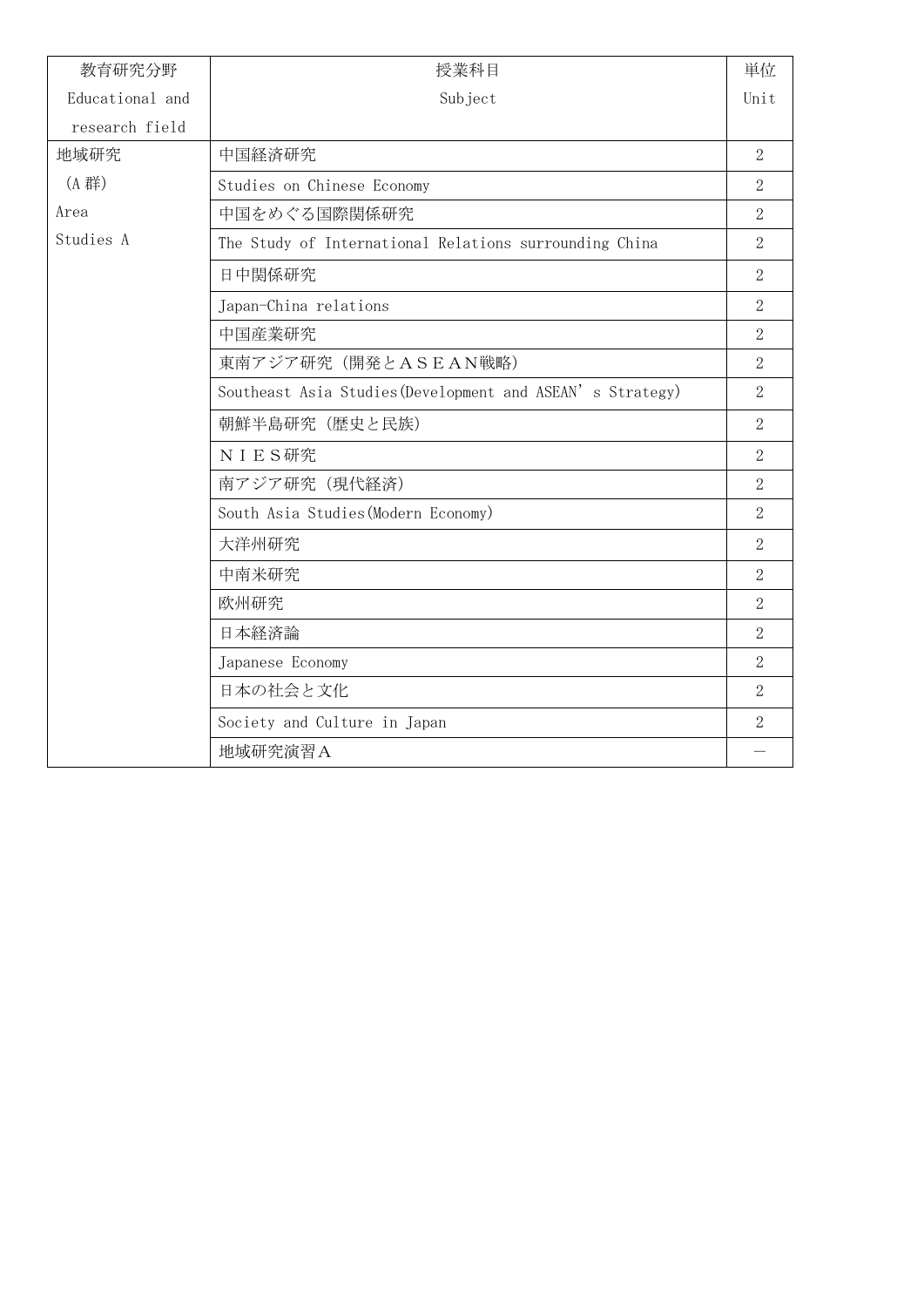| 教育研究分野          | 授業科目                                                      | 単位                       |
|-----------------|-----------------------------------------------------------|--------------------------|
| Educational and | Subject                                                   | Unit                     |
| research field  |                                                           |                          |
| 地域研究            | 中国経済研究                                                    | $\overline{2}$           |
| (A 群)           | Studies on Chinese Economy                                | $\overline{2}$           |
| Area            | 中国をめぐる国際関係研究                                              | $\overline{2}$           |
| Studies A       | The Study of International Relations surrounding China    | $\overline{2}$           |
|                 | 日中関係研究                                                    | $\overline{2}$           |
|                 | Japan-China relations                                     | $\overline{2}$           |
|                 | 中国産業研究                                                    | $\overline{2}$           |
|                 | 東南アジア研究 (開発とASEAN戦略)                                      | $\overline{2}$           |
|                 | Southeast Asia Studies (Development and ASEAN's Strategy) | $\overline{2}$           |
|                 | 朝鮮半島研究 (歴史と民族)                                            | 2                        |
|                 | <b>NIES研究</b>                                             | $\overline{2}$           |
|                 | 南アジア研究 (現代経済)                                             | $\overline{2}$           |
|                 | South Asia Studies (Modern Economy)                       | $\overline{2}$           |
|                 | 大洋州研究                                                     | $\overline{2}$           |
|                 | 中南米研究                                                     | $\overline{2}$           |
|                 | 欧州研究                                                      | $\overline{2}$           |
|                 | 日本経済論                                                     | $\overline{2}$           |
|                 | Japanese Economy                                          | $\overline{2}$           |
|                 | 日本の社会と文化                                                  | $\overline{2}$           |
|                 | Society and Culture in Japan                              | $\overline{2}$           |
|                 | 地域研究演習A                                                   | $\overline{\phantom{0}}$ |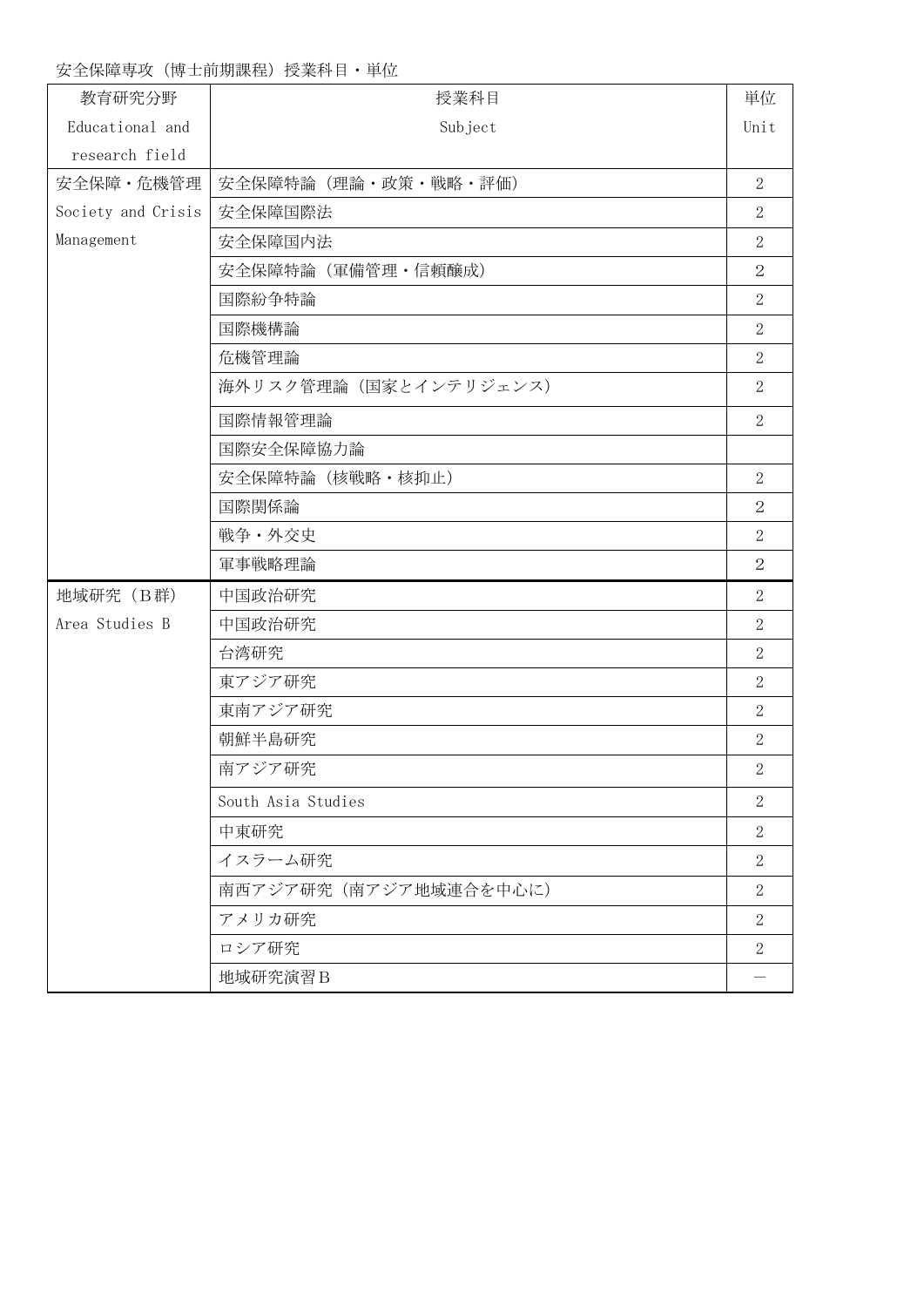## 安全保障専攻(博士前期課程)授業科目·単位

| 教育研究分野             | 授業科目                   | 単位             |
|--------------------|------------------------|----------------|
| Educational and    | Subject                | Unit           |
| research field     |                        |                |
| 安全保障·危機管理          | 安全保障特論(理論・政策・戦略・評価)    | $\overline{2}$ |
| Society and Crisis | 安全保障国際法                | $\mathbf{2}$   |
| Management         | 安全保障国内法                | $\overline{2}$ |
|                    | 安全保障特論 (軍備管理・信頼醸成)     | $\overline{2}$ |
|                    | 国際紛争特論                 | $\overline{2}$ |
|                    | 国際機構論                  | $\overline{2}$ |
|                    | 危機管理論                  | $\overline{2}$ |
|                    | 海外リスク管理論 (国家とインテリジェンス) | $\overline{2}$ |
|                    | 国際情報管理論                | $\overline{2}$ |
|                    | 国際安全保障協力論              |                |
|                    | 安全保障特論 (核戦略·核抑止)       | $\overline{2}$ |
|                    | 国際関係論                  | 2              |
|                    | 戦争·外交史                 | $\overline{2}$ |
|                    | 軍事戦略理論                 | $\overline{2}$ |
| 地域研究 (B群)          | 中国政治研究                 | $\overline{2}$ |
| Area Studies B     | 中国政治研究                 | $\overline{2}$ |
|                    | 台湾研究                   | $\mathbf{2}$   |
|                    | 東アジア研究                 | $\overline{2}$ |
|                    | 東南アジア研究                | $\overline{2}$ |
|                    | 朝鮮半島研究                 | $\mathbf{2}$   |
|                    | 南アジア研究                 | $\overline{2}$ |
|                    | South Asia Studies     | $\mathbf{2}$   |
|                    | 中東研究                   | $\overline{2}$ |
|                    | イスラーム研究                | $\overline{2}$ |
|                    | 南西アジア研究 (南アジア地域連合を中心に) | $\overline{2}$ |
|                    | アメリカ研究                 | $\overline{2}$ |
|                    | ロシア研究                  | $\overline{2}$ |
|                    | 地域研究演習B                |                |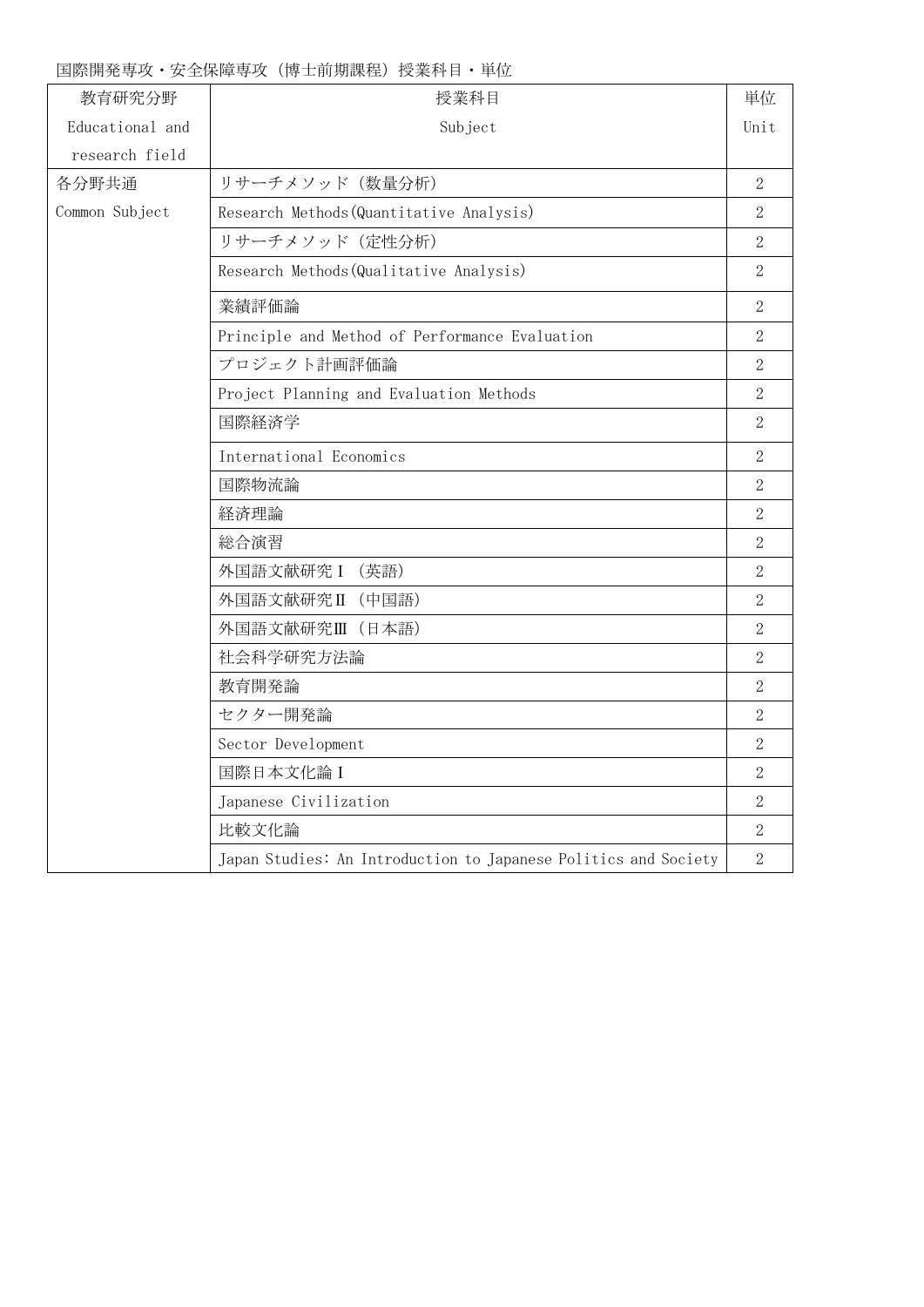## 国際開発専攻・安全保障専攻(博士前期課程)授業科目・単位

| 教育研究分野          | 授業科目                                                            | 単位               |
|-----------------|-----------------------------------------------------------------|------------------|
| Educational and | Subject                                                         | Unit             |
| research field  |                                                                 |                  |
| 各分野共通           | リサーチメソッド (数量分析)                                                 | $\overline{2}$   |
| Common Subject  | Research Methods (Quantitative Analysis)                        | $\sqrt{2}$       |
|                 | リサーチメソッド (定性分析)                                                 | $\overline{2}$   |
|                 | Research Methods (Qualitative Analysis)                         | $\overline{2}$   |
|                 | 業績評価論                                                           | $\overline{2}$   |
|                 | Principle and Method of Performance Evaluation                  | $\overline{2}$   |
|                 | プロジェクト計画評価論                                                     | $\overline{2}$   |
|                 | Project Planning and Evaluation Methods                         | $\overline{2}$   |
|                 | 国際経済学                                                           | $\overline{2}$   |
|                 | International Economics                                         | $\overline{2}$   |
|                 | 国際物流論                                                           | $\overline{2}$   |
|                 | 経済理論                                                            | $\overline{2}$   |
|                 | 総合演習                                                            | $\overline{2}$   |
|                 | 外国語文献研究 I (英語)                                                  | $\overline{2}$   |
|                 | 外国語文献研究II (中国語)                                                 | $\overline{2}$   |
|                 | 外国語文献研究Ⅲ (日本語)                                                  | $\overline{2}$   |
|                 | 社会科学研究方法論                                                       | $\overline{2}$   |
|                 | 教育開発論                                                           | $\boldsymbol{2}$ |
|                 | セクター開発論                                                         | $\overline{2}$   |
|                 | Sector Development                                              | $\overline{2}$   |
|                 | 国際日本文化論 I                                                       | $\overline{2}$   |
|                 | Japanese Civilization                                           | $\overline{2}$   |
|                 | 比較文化論                                                           | $\overline{2}$   |
|                 | Japan Studies: An Introduction to Japanese Politics and Society | $\overline{2}$   |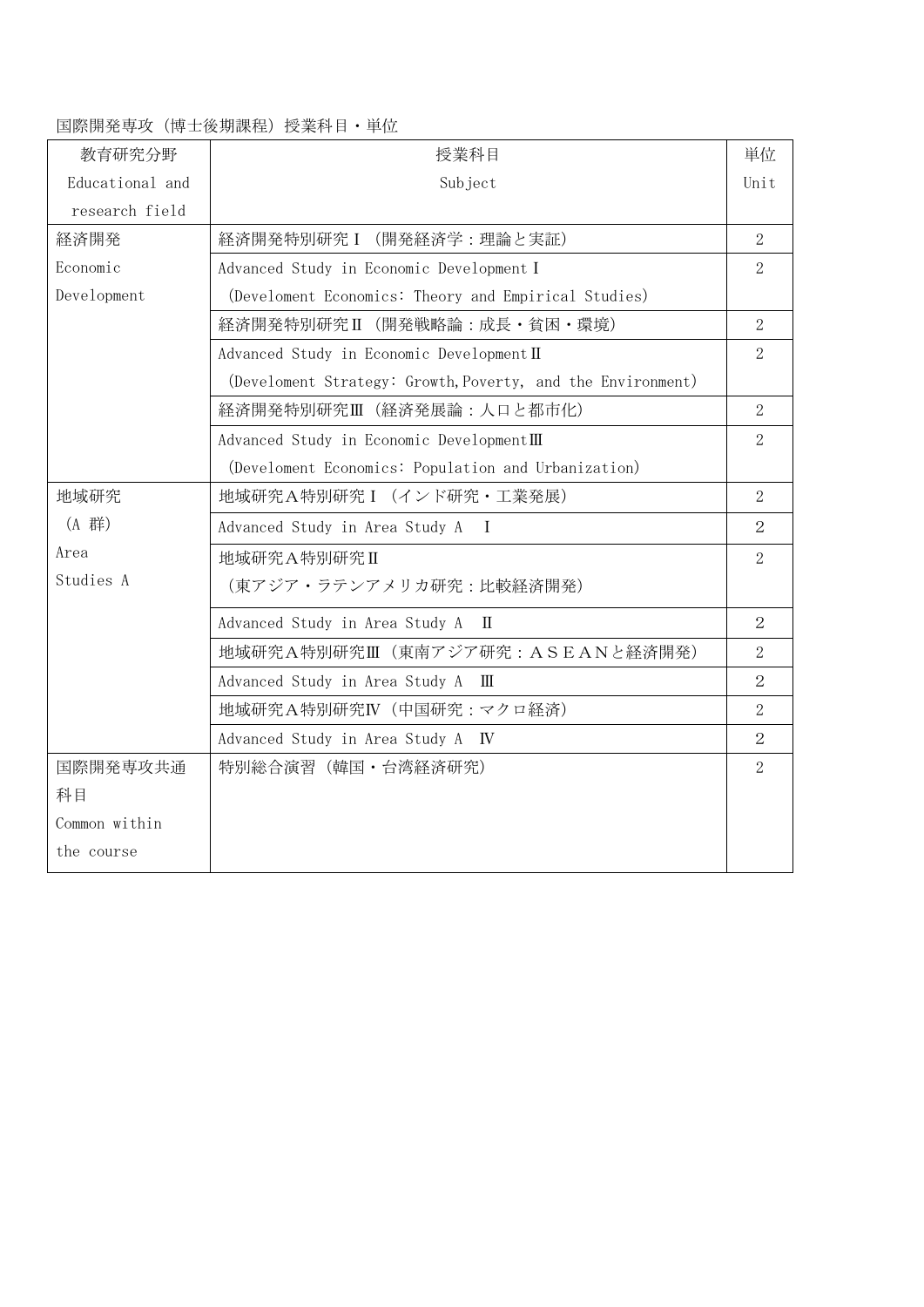#### 国際開発専攻(博士後期課程)授業科目・単位

| 教育研究分野          | 授業科目                                                        | 単位             |
|-----------------|-------------------------------------------------------------|----------------|
| Educational and | Subject                                                     | Unit           |
| research field  |                                                             |                |
| 経済開発            | 経済開発特別研究 I (開発経済学:理論と実証)                                    | $\overline{2}$ |
| Economic        | Advanced Study in Economic Development I                    | $\overline{2}$ |
| Development     | (Develoment Economics: Theory and Empirical Studies)        |                |
|                 | 経済開発特別研究II (開発戦略論:成長·貧困·環境)                                 | $\overline{2}$ |
|                 | Advanced Study in Economic Development II                   | $\overline{2}$ |
|                 | (Develoment Strategy: Growth, Poverty, and the Environment) |                |
|                 | 経済開発特別研究Ⅲ(経済発展論:人口と都市化)                                     | $\overline{2}$ |
|                 | Advanced Study in Economic DevelopmentIII                   | $\overline{2}$ |
|                 | (Develoment Economics: Population and Urbanization)         |                |
| 地域研究            | 地域研究A特別研究 I (インド研究·工業発展)                                    | $\overline{2}$ |
| (A 群)           | Advanced Study in Area Study A I                            | 2              |
| Area            | 地域研究A特別研究II                                                 | 2              |
| Studies A       | (東アジア・ラテンアメリカ研究:比較経済開発)                                     |                |
|                 | Advanced Study in Area Study A II                           | $\overline{2}$ |
|                 | 地域研究A特別研究Ⅲ(東南アジア研究: ASEANと経済開発)                             | $\overline{2}$ |
|                 | Advanced Study in Area Study A III                          | $\overline{2}$ |
|                 | 地域研究A特別研究IV (中国研究:マクロ経済)                                    | $\overline{2}$ |
|                 | Advanced Study in Area Study A IV                           | $\overline{2}$ |
| 国際開発専攻共通        | 特別総合演習 (韓国・台湾経済研究)                                          | $\overline{2}$ |
| 科目              |                                                             |                |
| Common within   |                                                             |                |
| the course      |                                                             |                |